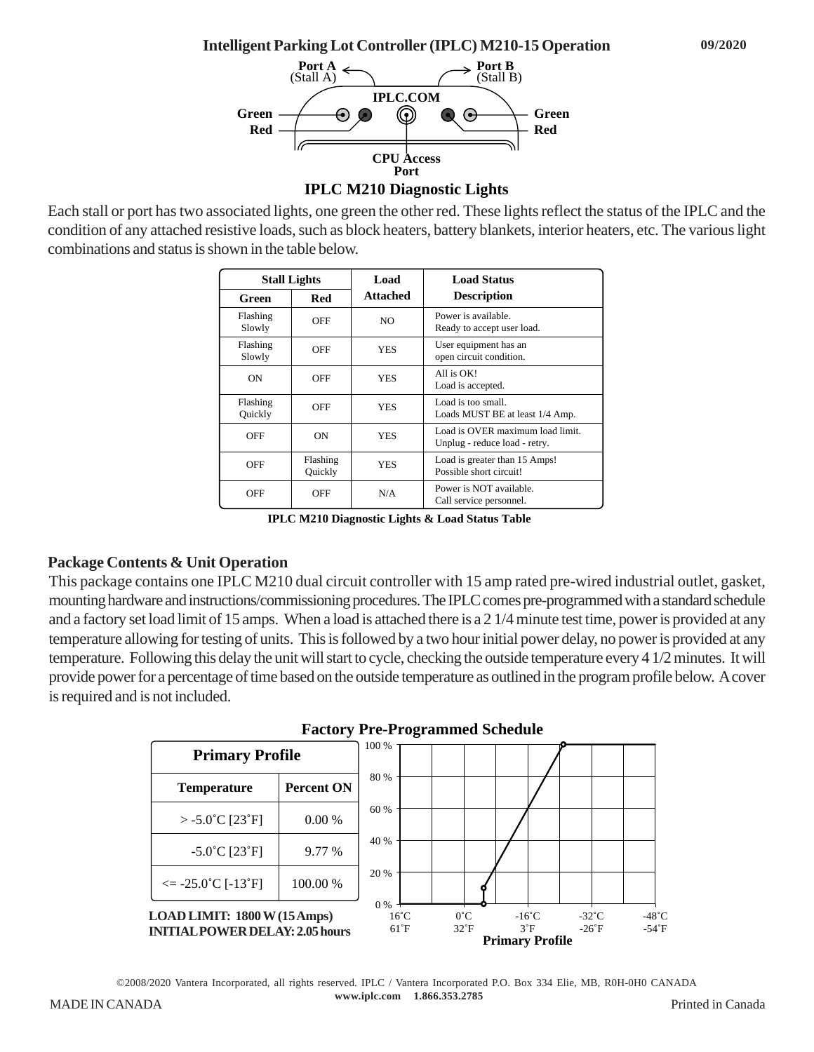**Intelligent Parking Lot Controller (IPLC) M210-15 Operation**



Each stall or port has two associated lights, one green the other red. These lights reflect the status of the IPLC and the condition of any attached resistive loads, such as block heaters, battery blankets, interior heaters, etc. The various light combinations and status is shown in the table below.

| <b>Stall Lights</b> |                     | Load            | <b>Load Status</b>                                                |
|---------------------|---------------------|-----------------|-------------------------------------------------------------------|
| Green               | Red                 | <b>Attached</b> | <b>Description</b>                                                |
| Flashing<br>Slowly  | OFF                 | NO.             | Power is available<br>Ready to accept user load.                  |
| Flashing<br>Slowly  | OFF                 | <b>YES</b>      | User equipment has an<br>open circuit condition.                  |
| ON                  | OFF                 | <b>YES</b>      | All is OK!<br>Load is accepted.                                   |
| Flashing<br>Quickly | OFF                 | <b>YES</b>      | Load is too small.<br>Loads MUST BE at least 1/4 Amp.             |
| OFF                 | ON                  | <b>YES</b>      | Load is OVER maximum load limit.<br>Unplug - reduce load - retry. |
| OFF                 | Flashing<br>Quickly | <b>YES</b>      | Load is greater than 15 Amps!<br>Possible short circuit!          |
| OFF                 | OFF                 | N/A             | Power is NOT available.<br>Call service personnel.                |

**IPLC M210 Diagnostic Lights & Load Status Table**

## **Package Contents & Unit Operation**

This package contains one IPLC M210 dual circuit controller with 15 amp rated pre-wired industrial outlet, gasket, mounting hardware and instructions/commissioning procedures. The IPLC comes pre-programmed with a standard schedule and a factory set load limit of 15 amps. When a load is attached there is a 2 1/4 minute test time, power is provided at any temperature allowing for testing of units. This is followed by a two hour initial power delay, no power is provided at any temperature. Following this delay the unit will start to cycle, checking the outside temperature every 4 1/2 minutes. It will provide power for a percentage of time based on the outside temperature as outlined in the program profile below. A cover is required and is not included.





©2008/2020 Vantera Incorporated, all rights reserved. IPLC / Vantera Incorporated P.O. Box 334 Elie, MB, R0H-0H0 CANADA  **www.iplc.com 1.866.353.2785** MADE IN CANADA Printed in Canada